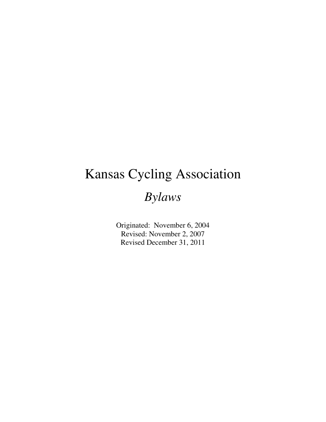# Kansas Cycling Association

## *Bylaws*

Originated: November 6, 2004 Revised: November 2, 2007 Revised December 31, 2011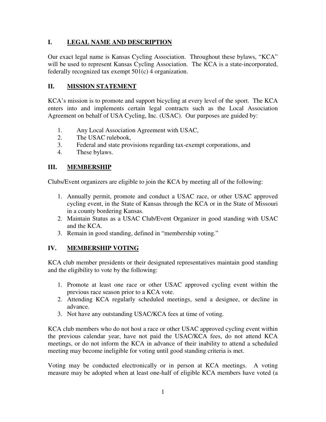#### **I. LEGAL NAME AND DESCRIPTION**

Our exact legal name is Kansas Cycling Association. Throughout these bylaws, "KCA" will be used to represent Kansas Cycling Association. The KCA is a state-incorporated, federally recognized tax exempt 501(c) 4 organization.

#### **II. MISSION STATEMENT**

KCA's mission is to promote and support bicycling at every level of the sport. The KCA enters into and implements certain legal contracts such as the Local Association Agreement on behalf of USA Cycling, Inc. (USAC). Our purposes are guided by:

- 1. Any Local Association Agreement with USAC,
- 2. The USAC rulebook,
- 3. Federal and state provisions regarding tax-exempt corporations, and
- 4. These bylaws.

#### **III. MEMBERSHIP**

Clubs/Event organizers are eligible to join the KCA by meeting all of the following:

- 1. Annually permit, promote and conduct a USAC race, or other USAC approved cycling event, in the State of Kansas through the KCA or in the State of Missouri in a county bordering Kansas.
- 2. Maintain Status as a USAC Club/Event Organizer in good standing with USAC and the KCA.
- 3. Remain in good standing, defined in "membership voting."

#### **IV. MEMBERSHIP VOTING**

KCA club member presidents or their designated representatives maintain good standing and the eligibility to vote by the following:

- 1. Promote at least one race or other USAC approved cycling event within the previous race season prior to a KCA vote.
- 2. Attending KCA regularly scheduled meetings, send a designee, or decline in advance.
- 3. Not have any outstanding USAC/KCA fees at time of voting.

KCA club members who do not host a race or other USAC approved cycling event within the previous calendar year, have not paid the USAC/KCA fees, do not attend KCA meetings, or do not inform the KCA in advance of their inability to attend a scheduled meeting may become ineligible for voting until good standing criteria is met.

Voting may be conducted electronically or in person at KCA meetings. A voting measure may be adopted when at least one-half of eligible KCA members have voted (a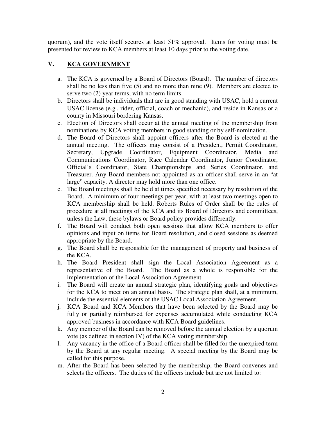quorum), and the vote itself secures at least 51% approval. Items for voting must be presented for review to KCA members at least 10 days prior to the voting date.

#### V. **KCA GOVERNMENT**

- a. The KCA is governed by a Board of Directors (Board). The number of directors shall be no less than five (5) and no more than nine (9). Members are elected to serve two (2) year terms, with no term limits.
- b. Directors shall be individuals that are in good standing with USAC, hold a current USAC license (e.g., rider, official, coach or mechanic), and reside in Kansas or a county in Missouri bordering Kansas.
- c. Election of Directors shall occur at the annual meeting of the membership from nominations by KCA voting members in good standing or by self-nomination.
- d. The Board of Directors shall appoint officers after the Board is elected at the annual meeting. The officers may consist of a President, Permit Coordinator, Secretary, Upgrade Coordinator, Equipment Coordinator, Media and Communications Coordinator, Race Calendar Coordinator, Junior Coordinator, Official's Coordinator, State Championships and Series Coordinator, and Treasurer. Any Board members not appointed as an officer shall serve in an "at large" capacity. A director may hold more than one office.
- e. The Board meetings shall be held at times specified necessary by resolution of the Board. A minimum of four meetings per year, with at least two meetings open to KCA membership shall be held. Roberts Rules of Order shall be the rules of procedure at all meetings of the KCA and its Board of Directors and committees, unless the Law, these bylaws or Board policy provides differently.
- f. The Board will conduct both open sessions that allow KCA members to offer opinions and input on items for Board resolution, and closed sessions as deemed appropriate by the Board.
- g. The Board shall be responsible for the management of property and business of the KCA.
- h. The Board President shall sign the Local Association Agreement as a representative of the Board. The Board as a whole is responsible for the implementation of the Local Association Agreement.
- i. The Board will create an annual strategic plan, identifying goals and objectives for the KCA to meet on an annual basis. The strategic plan shall, at a minimum, include the essential elements of the USAC Local Association Agreement.
- j. KCA Board and KCA Members that have been selected by the Board may be fully or partially reimbursed for expenses accumulated while conducting KCA approved business in accordance with KCA Board guidelines.
- k. Any member of the Board can be removed before the annual election by a quorum vote (as defined in section IV) of the KCA voting membership.
- l. Any vacancy in the office of a Board officer shall be filled for the unexpired term by the Board at any regular meeting. A special meeting by the Board may be called for this purpose.
- m. After the Board has been selected by the membership, the Board convenes and selects the officers. The duties of the officers include but are not limited to: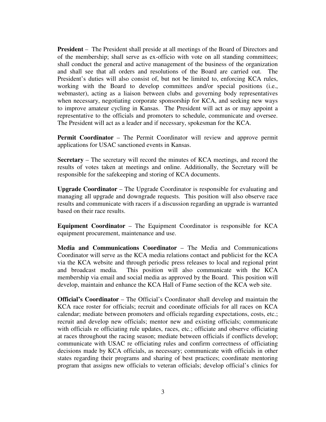**President** – The President shall preside at all meetings of the Board of Directors and of the membership; shall serve as ex-officio with vote on all standing committees; shall conduct the general and active management of the business of the organization and shall see that all orders and resolutions of the Board are carried out. The President's duties will also consist of, but not be limited to, enforcing KCA rules, working with the Board to develop committees and/or special positions (i.e., webmaster), acting as a liaison between clubs and governing body representatives when necessary, negotiating corporate sponsorship for KCA, and seeking new ways to improve amateur cycling in Kansas. The President will act as or may appoint a representative to the officials and promoters to schedule, communicate and oversee. The President will act as a leader and if necessary, spokesman for the KCA.

**Permit Coordinator** – The Permit Coordinator will review and approve permit applications for USAC sanctioned events in Kansas.

**Secretary** – The secretary will record the minutes of KCA meetings, and record the results of votes taken at meetings and online. Additionally, the Secretary will be responsible for the safekeeping and storing of KCA documents.

**Upgrade Coordinator** – The Upgrade Coordinator is responsible for evaluating and managing all upgrade and downgrade requests. This position will also observe race results and communicate with racers if a discussion regarding an upgrade is warranted based on their race results.

**Equipment Coordinator** – The Equipment Coordinator is responsible for KCA equipment procurement, maintenance and use.

**Media and Communications Coordinator** – The Media and Communications Coordinator will serve as the KCA media relations contact and publicist for the KCA via the KCA website and through periodic press releases to local and regional print and broadcast media. This position will also communicate with the KCA membership via email and social media as approved by the Board. This position will develop, maintain and enhance the KCA Hall of Fame section of the KCA web site.

**Official's Coordinator** – The Official's Coordinator shall develop and maintain the KCA race roster for officials; recruit and coordinate officials for all races on KCA calendar; mediate between promoters and officials regarding expectations, costs, etc.; recruit and develop new officials; mentor new and existing officials; communicate with officials re officiating rule updates, races, etc.; officiate and observe officiating at races throughout the racing season; mediate between officials if conflicts develop; communicate with USAC re officiating rules and confirm correctness of officiating decisions made by KCA officials, as necessary; communicate with officials in other states regarding their programs and sharing of best practices; coordinate mentoring program that assigns new officials to veteran officials; develop official's clinics for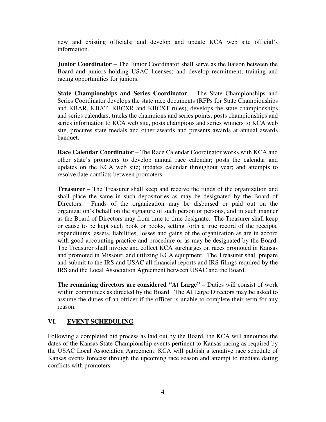new and existing officials; and develop and update KCA web site official's information.

**Junior Coordinator** – The Junior Coordinator shall serve as the liaison between the Board and juniors holding USAC licenses; and develop recruitment, training and racing opportunities for juniors.

**State Championships and Series Coordinator** – The State Championships and Series Coordinator develops the state race documents (RFPs for State Championships and KBAR, KBAT, KBCXR and KBCXT rules), develops the state championships and series calendars, tracks the champions and series points, posts championships and series information to KCA web site, posts champions and series winners to KCA web site, procures state medals and other awards and presents awards at annual awards banquet.

**Race Calendar Coordinator** – The Race Calendar Coordinator works with KCA and other state's promoters to develop annual race calendar; posts the calendar and updates on the KCA web site; updates calendar throughout year; and attempts to resolve date conflicts between promoters.

**Treasurer** – The Treasurer shall keep and receive the funds of the organization and shall place the same in such depositories as may be designated by the Board of Directors. Funds of the organization may be disbursed or paid out on the organization's behalf on the signature of such person or persons, and in such manner as the Board of Directors may from time to time designate. The Treasurer shall keep or cause to be kept such book or books, setting forth a true record of the receipts, expenditures, assets, liabilities, losses and gains of the organization as are in accord with good accounting practice and procedure or as may be designated by the Board. The Treasurer shall invoice and collect KCA surcharges on races promoted in Kansas and promoted in Missouri and utilizing KCA equipment. The Treasurer shall prepare and submit to the IRS and USAC all financial reports and IRS filings required by the IRS and the Local Association Agreement between USAC and the Board.

**The remaining directors are considered "At Large" – Duties will consist of work** within committees as directed by the Board. The At Large Directors may be asked to assume the duties of an officer if the officer is unable to complete their term for any reason.

#### **VI**. **EVENT SCHEDULING**

Following a completed bid process as laid out by the Board, the KCA will announce the dates of the Kansas State Championship events pertinent to Kansas racing as required by the USAC Local Association Agreement. KCA will publish a tentative race schedule of Kansas events forecast through the upcoming race season and attempt to mediate dating conflicts with promoters.